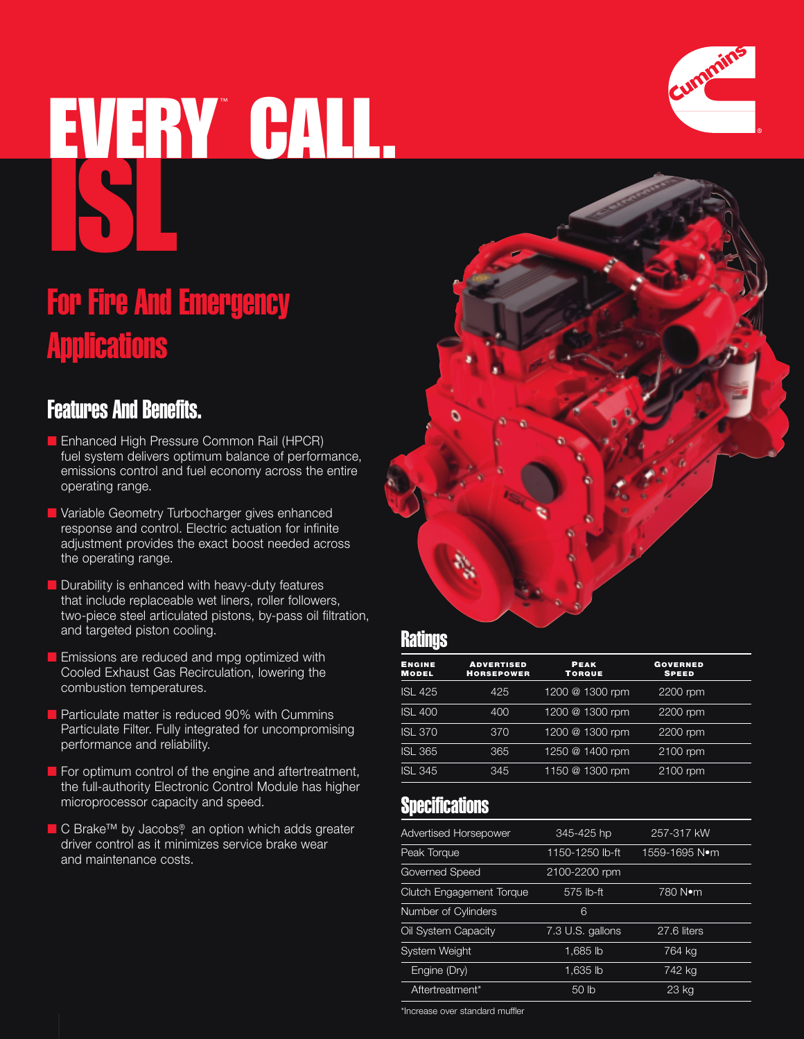# EVERY CALL.



# Features And Benefits.

- Enhanced High Pressure Common Rail (HPCR) fuel system delivers optimum balance of performance, emissions control and fuel economy across the entire operating range.
- Variable Geometry Turbocharger gives enhanced response and control. Electric actuation for infinite adjustment provides the exact boost needed across the operating range.
- **Durability is enhanced with heavy-duty features** that include replaceable wet liners, roller followers, two-piece steel articulated pistons, by-pass oil filtration, and targeted piston cooling.
- **Emissions are reduced and mpg optimized with** Cooled Exhaust Gas Recirculation, lowering the combustion temperatures.
- Particulate matter is reduced 90% with Cummins Particulate Filter. Fully integrated for uncompromising performance and reliability.
- For optimum control of the engine and aftertreatment, the full-authority Electronic Control Module has higher microprocessor capacity and speed.
- C Brake™ by Jacobs®, an option which adds greater driver control as it minimizes service brake wear and maintenance costs.

#### **Ratings**

| <b>ENGINE</b><br><b>MODEL</b> | <b>ADVERTISED</b><br><b>HORSEPOWER</b> | <b>PEAK</b><br><b>TORQUE</b> | <b>GOVERNED</b><br><b>SPEED</b> |
|-------------------------------|----------------------------------------|------------------------------|---------------------------------|
| <b>ISL 425</b>                | 425                                    | 1200 @ 1300 rpm              | 2200 rpm                        |
| <b>ISL 400</b>                | 400                                    | 1200 @ 1300 rpm              | 2200 rpm                        |
| <b>ISL 370</b>                | 370                                    | 1200 @ 1300 rpm              | 2200 rpm                        |
| <b>ISL 365</b>                | 365                                    | 1250 @ 1400 rpm              | 2100 rpm                        |
| <b>ISL 345</b>                | 345                                    | 1150 @ 1300 rpm              | 2100 rpm                        |

### **Specifications**

| <b>Advertised Horsepower</b>    | 345-425 hp       | 257-317 kW    |  |
|---------------------------------|------------------|---------------|--|
| Peak Torque                     | 1150-1250 lb-ft  | 1559-1695 N•m |  |
| <b>Governed Speed</b>           | 2100-2200 rpm    |               |  |
| <b>Clutch Engagement Torque</b> | 575 lb-ft        | 780 Nom       |  |
| Number of Cylinders             | 6                |               |  |
| Oil System Capacity             | 7.3 U.S. gallons | 27.6 liters   |  |
| <b>System Weight</b>            | 1.685 lb         | 764 kg        |  |
| Engine (Dry)                    | 1.635 lb         | 742 kg        |  |
| Aftertreatment*                 | 50 <sub>h</sub>  | 23 kg         |  |

\*Increase over standard muffler